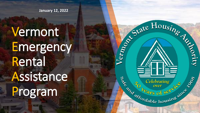**January 12, 2022**

## Vermont Emergency Rental Assistance Program

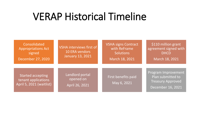## VERAP Historical Timeline

| Consolidated<br><b>Appropriations Act</b><br>signed<br>December 27, 2020    | VSHA interviews first of<br><b>10 ERA vendors</b><br><b>January 13, 2021</b> | <b>VSHA signs Contract</b><br>with ReFrame<br><b>Solutions</b><br>March 18, 2021 | \$110 million grant<br>agreement signed with<br><b>DHCD</b><br>March 18, 2021             |
|-----------------------------------------------------------------------------|------------------------------------------------------------------------------|----------------------------------------------------------------------------------|-------------------------------------------------------------------------------------------|
| <b>Started accepting</b><br>tenant applications<br>April 5, 2021 (waitlist) | Landlord portal<br>opened on<br>April 26, 2021                               | First benefits paid<br>May 6, 2021                                               | Program Improvement<br>Plan submitted to<br><b>Treasury Approved</b><br>December 16, 2021 |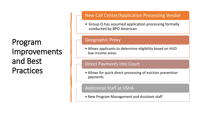### Program Improvements and Best **Practices**

### New Call Center/Application Processing Vendor

• Group O has assumed application processing formally conducted by BPO American

### Geographic Proxy

• Allows applicants to determine eligibility based on HUD low-income areas

### Direct Payments into Court

• Allows for quick direct processing of eviction prevention payments

### Additional Staff at VSHA

• New Program Management and Assistant staff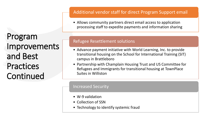Program Improvements and Best **Practices** Continued

### Additional vendor staff for direct Program Support email

• Allows community partners direct email access to application processing staff to expedite payments and information sharing

### Refugee Resettlement solutions

- Advance payment initiative with World Learning, Inc. to provide transitional housing on the School for International Training (SIT) campus in Brattleboro
- Partnership with Champlain Housing Trust and US Committee for Refugees and Immigrants for transitional housing at TownPlace Suites in Williston

### Increased Security

- W-9 validation
- Collection of SSN
- Technology to identify systemic fraud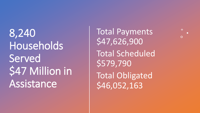8,240 Households **Served** \$47 Million in Assistance

Total Payments \$47,626,900 Total Scheduled \$579,790 Total Obligated \$46,052,163

 $+$ 

 $\overline{O}$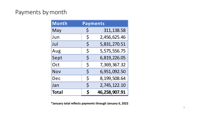### Payments bymonth

| <b>Month</b> | <b>Payments</b> |               |
|--------------|-----------------|---------------|
| May          | \$              | 311, 138.58   |
| Jun          | $\zeta$         | 2,456,625.46  |
| Jul          | $\zeta$         | 5,831,270.51  |
| Aug          | $\zeta$         | 5,575,556.75  |
| Sept         | $\zeta$         | 6,819,226.05  |
| Oct          | $\zeta$         | 7,369,367.32  |
| Nov          | $\zeta$         | 6,951,092.50  |
| Dec          | $\zeta$         | 8,199,508.64  |
| Jan          | $\zeta$         | 2,745,122.10  |
| <b>Total</b> | Ś               | 46,258,907.91 |

**\*January total reflects payments through January 6, 2022**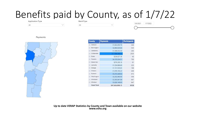## Benefits paid by County, as of  $1/7/22$

All

 $\checkmark$ 

All

5/6/2021 1/7/2022

#### Payments



| <b>County</b>                           | <b>Payments</b> | <b>Participants</b> |
|-----------------------------------------|-----------------|---------------------|
| Addison<br>田                            | \$1,822,850.76  | 346                 |
| Bennington<br>14                        | \$2,864,020.84  | 535                 |
| Caledonia<br>$+$                        | \$1,546,053.50  | 345                 |
| Chittenden<br>$^{+}$                    | \$17,096,848.52 | 2535                |
| Essex<br>Œ                              | \$236,827.38    | 43                  |
| Franklin<br>冊                           | \$4,105,934.51  | 700                 |
| Grand Isle<br>Ħ                         | \$376,300.18    | 61                  |
| Lamoille<br>囲                           | \$1,224,886.60  | 223                 |
| Orange<br>E)                            | \$1,131,920.03  | 198                 |
| Orleans<br>$^{+}$                       | \$1,676,155.24  | 309                 |
| Rutland<br>田                            | \$5,272,449.92  | 973                 |
| Washington<br>F                         | \$3,252,660.90  | 556                 |
| Windham<br>围                            | \$3,393,841.84  | 667                 |
| Windsor<br>$\left[ \frac{1}{2} \right]$ | \$3,626,149.93  | 647                 |
| <b>Grand Total</b>                      | \$47,626,900.15 | 8138                |

 $\checkmark$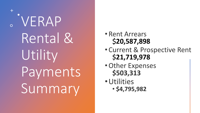VERAP Rental & Utility Payments Summary

 $\pm$ 

- Rent Arrears \$**20,587,898**
- Current & Prospective Rent **21,719,978**
- Other Expenses \$503,313
- · Utilities  $•$ \$4,795,982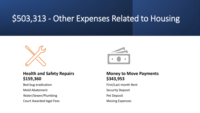## \$503,313 - Other Expenses Related to Housing



### **Health and Safety Repairs \$159,360**

Bed bug eradication

Mold Abatement

Water/Sewer/Plumbing

Court Awarded legal Fees



### **Money to Move Payments \$343,953**

First/Last month Rent

Security Deposit

Pet Deposit

Moving Expenses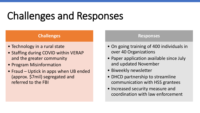## Challenges and Responses

### **Challenges**

- Technology in a rural state
- Staffing during COVID within VERAP and the greater community
- Program Misinformation
- Fraud Uptick in apps when UB ended (approx. \$7mil) segregated and referred to the FBI

### **Responses**

- On going training of 400 individuals in over 40 Organizations
- Paper application available since July and updated November
- Biweekly newsletter
- DHCD partnership to streamline communication with HSS grantees
- Increased security measure and coordination with law enforcement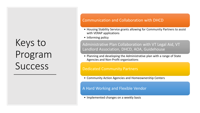## Keys to Program Success

### Communication and Collaboration with DHCD

- Housing Stability Service grants allowing for Community Partners to assist with VERAP applications
- Informing policy

### Administrative Plan Collaboration with VT Legal Aid, VT Landlord Association, DHCD, AOA, Guidehouse

• Planning and developing the Administrative plan with a range of State Agencies and Non-Profit organizations

#### Dedicated Community Partners

• Community Action Agencies and Homeownership Centers

### A Hard Working and Flexible Vendor

• Implemented changes on a weekly basis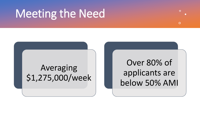## Meeting the Need

Averaging \$1,275,000/week

Over 80% of applicants are below 50% AMI

 $\Omega$